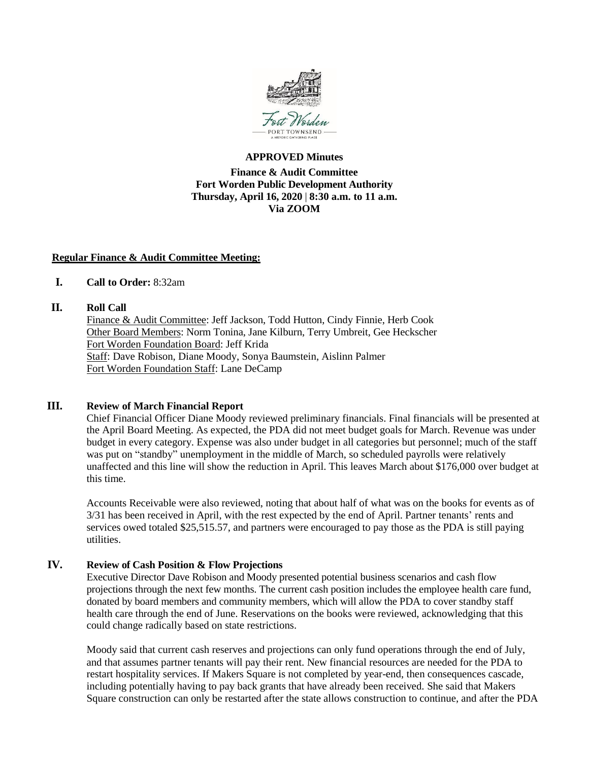

## **APPROVED Minutes**

# **Finance & Audit Committee Fort Worden Public Development Authority Thursday, April 16, 2020** | **8:30 a.m. to 11 a.m. Via ZOOM**

## **Regular Finance & Audit Committee Meeting:**

# **I. Call to Order:** 8:32am

## **II. Roll Call**

Finance & Audit Committee: Jeff Jackson, Todd Hutton, Cindy Finnie, Herb Cook Other Board Members: Norm Tonina, Jane Kilburn, Terry Umbreit, Gee Heckscher Fort Worden Foundation Board: Jeff Krida Staff: Dave Robison, Diane Moody, Sonya Baumstein, Aislinn Palmer Fort Worden Foundation Staff: Lane DeCamp

## **III. Review of March Financial Report**

Chief Financial Officer Diane Moody reviewed preliminary financials. Final financials will be presented at the April Board Meeting. As expected, the PDA did not meet budget goals for March. Revenue was under budget in every category. Expense was also under budget in all categories but personnel; much of the staff was put on "standby" unemployment in the middle of March, so scheduled payrolls were relatively unaffected and this line will show the reduction in April. This leaves March about \$176,000 over budget at this time.

Accounts Receivable were also reviewed, noting that about half of what was on the books for events as of 3/31 has been received in April, with the rest expected by the end of April. Partner tenants' rents and services owed totaled \$25,515.57, and partners were encouraged to pay those as the PDA is still paying utilities.

# **IV. Review of Cash Position & Flow Projections**

Executive Director Dave Robison and Moody presented potential business scenarios and cash flow projections through the next few months. The current cash position includes the employee health care fund, donated by board members and community members, which will allow the PDA to cover standby staff health care through the end of June. Reservations on the books were reviewed, acknowledging that this could change radically based on state restrictions.

Moody said that current cash reserves and projections can only fund operations through the end of July, and that assumes partner tenants will pay their rent. New financial resources are needed for the PDA to restart hospitality services. If Makers Square is not completed by year-end, then consequences cascade, including potentially having to pay back grants that have already been received. She said that Makers Square construction can only be restarted after the state allows construction to continue, and after the PDA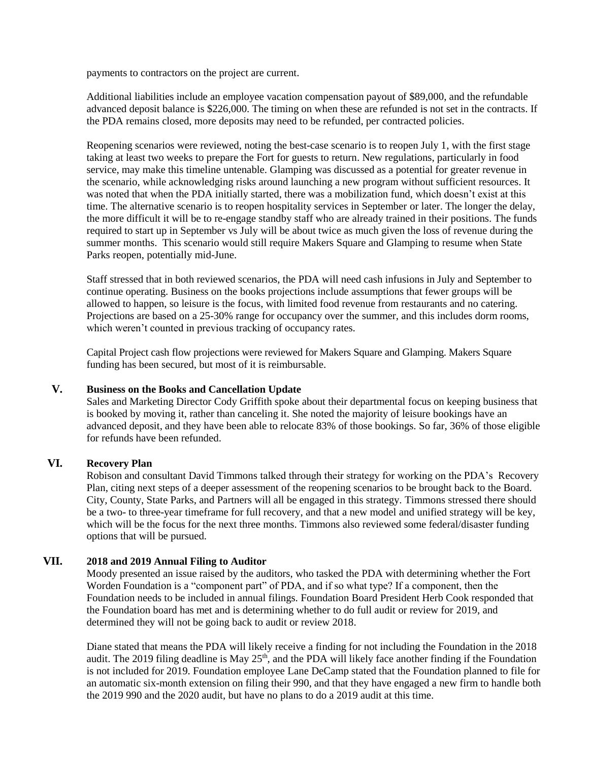payments to contractors on the project are current.

Additional liabilities include an employee vacation compensation payout of \$89,000, and the refundable advanced deposit balance is \$226,000. The timing on when these are refunded is not set in the contracts. If the PDA remains closed, more deposits may need to be refunded, per contracted policies.

Reopening scenarios were reviewed, noting the best-case scenario is to reopen July 1, with the first stage taking at least two weeks to prepare the Fort for guests to return. New regulations, particularly in food service, may make this timeline untenable. Glamping was discussed as a potential for greater revenue in the scenario, while acknowledging risks around launching a new program without sufficient resources. It was noted that when the PDA initially started, there was a mobilization fund, which doesn't exist at this time. The alternative scenario is to reopen hospitality services in September or later. The longer the delay, the more difficult it will be to re-engage standby staff who are already trained in their positions. The funds required to start up in September vs July will be about twice as much given the loss of revenue during the summer months. This scenario would still require Makers Square and Glamping to resume when State Parks reopen, potentially mid-June.

Staff stressed that in both reviewed scenarios, the PDA will need cash infusions in July and September to continue operating. Business on the books projections include assumptions that fewer groups will be allowed to happen, so leisure is the focus, with limited food revenue from restaurants and no catering. Projections are based on a 25-30% range for occupancy over the summer, and this includes dorm rooms, which weren't counted in previous tracking of occupancy rates.

Capital Project cash flow projections were reviewed for Makers Square and Glamping. Makers Square funding has been secured, but most of it is reimbursable.

#### **V. Business on the Books and Cancellation Update**

Sales and Marketing Director Cody Griffith spoke about their departmental focus on keeping business that is booked by moving it, rather than canceling it. She noted the majority of leisure bookings have an advanced deposit, and they have been able to relocate 83% of those bookings. So far, 36% of those eligible for refunds have been refunded.

#### **VI. Recovery Plan**

Robison and consultant David Timmons talked through their strategy for working on the PDA's Recovery Plan, citing next steps of a deeper assessment of the reopening scenarios to be brought back to the Board. City, County, State Parks, and Partners will all be engaged in this strategy. Timmons stressed there should be a two- to three-year timeframe for full recovery, and that a new model and unified strategy will be key, which will be the focus for the next three months. Timmons also reviewed some federal/disaster funding options that will be pursued.

#### **VII. 2018 and 2019 Annual Filing to Auditor**

Moody presented an issue raised by the auditors, who tasked the PDA with determining whether the Fort Worden Foundation is a "component part" of PDA, and if so what type? If a component, then the Foundation needs to be included in annual filings. Foundation Board President Herb Cook responded that the Foundation board has met and is determining whether to do full audit or review for 2019, and determined they will not be going back to audit or review 2018.

Diane stated that means the PDA will likely receive a finding for not including the Foundation in the 2018 audit. The 2019 filing deadline is May  $25<sup>th</sup>$ , and the PDA will likely face another finding if the Foundation is not included for 2019. Foundation employee Lane DeCamp stated that the Foundation planned to file for an automatic six-month extension on filing their 990, and that they have engaged a new firm to handle both the 2019 990 and the 2020 audit, but have no plans to do a 2019 audit at this time.